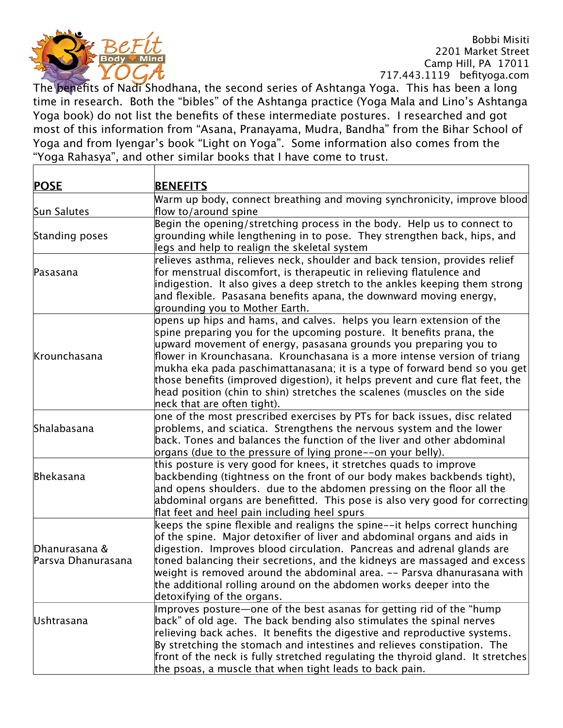

The benefits of Nadi Shodhana, the second series of Ashtanga Yoga. This has been a long time in research. Both the "bibles" of the Ashtanga practice (Yoga Mala and Lino's Ashtanga Yoga book) do not list the benefits of these intermediate postures. I researched and got most of this information from "Asana, Pranayama, Mudra, Bandha" from the Bihar School of Yoga and from Iyengar's book "Light on Yoga". Some information also comes from the "Yoga Rahasya", and other similar books that I have come to trust.

| <b>POSE</b>        | <b>BENEFITS</b>                                                                                                             |
|--------------------|-----------------------------------------------------------------------------------------------------------------------------|
|                    | Warm up body, connect breathing and moving synchronicity, improve blood                                                     |
| Sun Salutes        | flow to/around spine                                                                                                        |
|                    | Begin the opening/stretching process in the body. Help us to connect to                                                     |
| Standing poses     | grounding while lengthening in to pose. They strengthen back, hips, and                                                     |
|                    | legs and help to realign the skeletal system                                                                                |
|                    | relieves asthma, relieves neck, shoulder and back tension, provides relief                                                  |
| Pasasana           | for menstrual discomfort, is therapeutic in relieving flatulence and                                                        |
|                    | indigestion. It also gives a deep stretch to the ankles keeping them strong                                                 |
|                    | and flexible. Pasasana benefits apana, the downward moving energy,                                                          |
|                    | grounding you to Mother Earth.                                                                                              |
|                    | opens up hips and hams, and calves. helps you learn extension of the                                                        |
|                    | spine preparing you for the upcoming posture. It benefits prana, the                                                        |
|                    | upward movement of energy, pasasana grounds you preparing you to                                                            |
| Krounchasana       | flower in Krounchasana. Krounchasana is a more intense version of triang                                                    |
|                    | mukha eka pada paschimattanasana; it is a type of forward bend so you get                                                   |
|                    | those benefits (improved digestion), it helps prevent and cure flat feet, the                                               |
|                    | head position (chin to shin) stretches the scalenes (muscles on the side                                                    |
|                    | neck that are often tight).                                                                                                 |
|                    | one of the most prescribed exercises by PTs for back issues, disc related                                                   |
| Shalabasana        | problems, and sciatica. Strengthens the nervous system and the lower                                                        |
|                    | back. Tones and balances the function of the liver and other abdominal                                                      |
|                    | organs (due to the pressure of lying prone--on your belly).                                                                 |
|                    | this posture is very good for knees, it stretches quads to improve                                                          |
| Bhekasana          | backbending (tightness on the front of our body makes backbends tight),                                                     |
|                    | and opens shoulders. due to the abdomen pressing on the floor all the                                                       |
|                    | abdominal organs are benefitted. This pose is also very good for correcting<br>flat feet and heel pain including heel spurs |
|                    | keeps the spine flexible and realigns the spine--it helps correct hunching                                                  |
|                    | of the spine. Major detoxifier of liver and abdominal organs and aids in                                                    |
| Dhanurasana &      | digestion. Improves blood circulation. Pancreas and adrenal glands are                                                      |
| Parsva Dhanurasana | toned balancing their secretions, and the kidneys are massaged and excess                                                   |
|                    | weight is removed around the abdominal area. -- Parsva dhanurasana with                                                     |
|                    | the additional rolling around on the abdomen works deeper into the                                                          |
|                    | detoxifying of the organs.                                                                                                  |
|                    | Improves posture—one of the best asanas for getting rid of the "hump                                                        |
| Ushtrasana         | back" of old age. The back bending also stimulates the spinal nerves                                                        |
|                    | relieving back aches. It benefits the digestive and reproductive systems.                                                   |
|                    | By stretching the stomach and intestines and relieves constipation. The                                                     |
|                    | front of the neck is fully stretched regulating the thyroid gland. It stretches                                             |
|                    | the psoas, a muscle that when tight leads to back pain.                                                                     |
|                    |                                                                                                                             |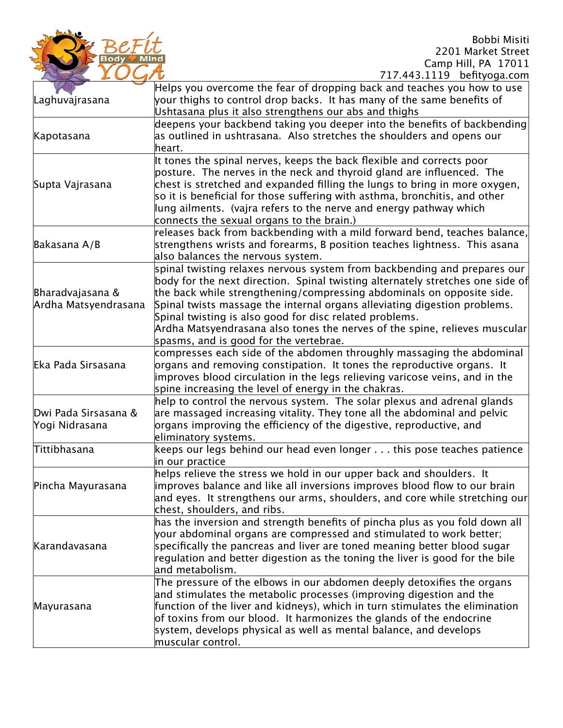

|                                          | Helps you overcome the fear of dropping back and teaches you how to use        |
|------------------------------------------|--------------------------------------------------------------------------------|
|                                          |                                                                                |
| Laghuvajrasana                           | your thighs to control drop backs. It has many of the same benefits of         |
|                                          | Ushtasana plus it also strengthens our abs and thighs                          |
| Kapotasana                               | deepens your backbend taking you deeper into the benefits of backbending       |
|                                          | as outlined in ushtrasana. Also stretches the shoulders and opens our          |
|                                          | heart.                                                                         |
| Supta Vajrasana                          | It tones the spinal nerves, keeps the back flexible and corrects poor          |
|                                          | posture. The nerves in the neck and thyroid gland are influenced. The          |
|                                          | chest is stretched and expanded filling the lungs to bring in more oxygen,     |
|                                          | so it is beneficial for those suffering with asthma, bronchitis, and other     |
|                                          | lung ailments. (vajra refers to the nerve and energy pathway which             |
|                                          | connects the sexual organs to the brain.)                                      |
|                                          | releases back from backbending with a mild forward bend, teaches balance,      |
| Bakasana A/B                             | strengthens wrists and forearms, B position teaches lightness. This asana      |
|                                          | also balances the nervous system.                                              |
|                                          | spinal twisting relaxes nervous system from backbending and prepares our       |
|                                          | body for the next direction. Spinal twisting alternately stretches one side of |
|                                          | the back while strengthening/compressing abdominals on opposite side.          |
| Bharadvajasana &<br>Ardha Matsyendrasana | Spinal twists massage the internal organs alleviating digestion problems.      |
|                                          | Spinal twisting is also good for disc related problems.                        |
|                                          | Ardha Matsyendrasana also tones the nerves of the spine, relieves muscular     |
|                                          |                                                                                |
|                                          | spasms, and is good for the vertebrae.                                         |
|                                          | compresses each side of the abdomen throughly massaging the abdominal          |
| Eka Pada Sirsasana                       | organs and removing constipation. It tones the reproductive organs. It         |
|                                          | improves blood circulation in the legs relieving varicose veins, and in the    |
|                                          | spine increasing the level of energy in the chakras.                           |
|                                          | help to control the nervous system. The solar plexus and adrenal glands        |
| Dwi Pada Sirsasana &                     | are massaged increasing vitality. They tone all the abdominal and pelvic       |
| Yogi Nidrasana                           | organs improving the efficiency of the digestive, reproductive, and            |
|                                          | eliminatory systems.                                                           |
| Tittibhasana                             | keeps our legs behind our head even longer this pose teaches patience          |
|                                          | in our practice                                                                |
| Pincha Mayurasana                        | helps relieve the stress we hold in our upper back and shoulders. It           |
|                                          | improves balance and like all inversions improves blood flow to our brain      |
|                                          | and eyes. It strengthens our arms, shoulders, and core while stretching our    |
|                                          | chest, shoulders, and ribs.                                                    |
|                                          | has the inversion and strength benefits of pincha plus as you fold down all    |
|                                          | your abdominal organs are compressed and stimulated to work better;            |
| Karandavasana                            | specifically the pancreas and liver are toned meaning better blood sugar       |
|                                          | regulation and better digestion as the toning the liver is good for the bile   |
|                                          | and metabolism.                                                                |
| Mayurasana                               | The pressure of the elbows in our abdomen deeply detoxifies the organs         |
|                                          | and stimulates the metabolic processes (improving digestion and the            |
|                                          | function of the liver and kidneys), which in turn stimulates the elimination   |
|                                          | of toxins from our blood. It harmonizes the glands of the endocrine            |
|                                          | system, develops physical as well as mental balance, and develops              |
|                                          | muscular control.                                                              |
|                                          |                                                                                |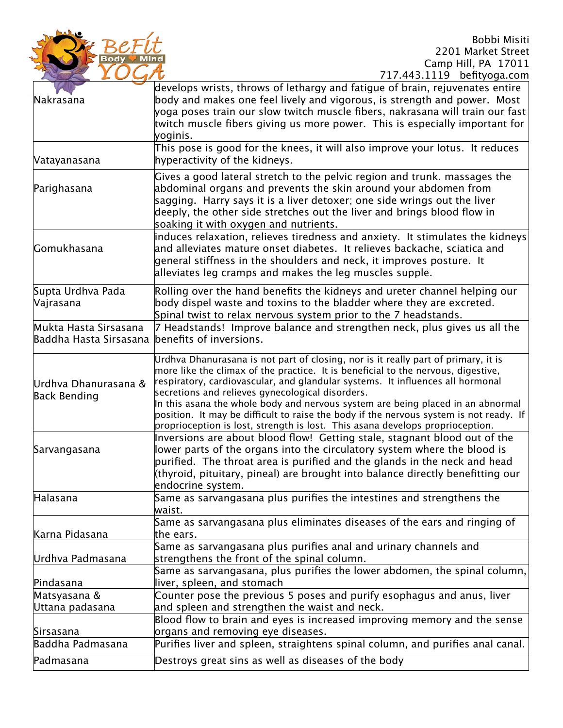

| $111.7773.1117$ being by $\alpha$ .                                                                                                                                                                                                                                                                                                                                                                                                                                                                                                                                         |
|-----------------------------------------------------------------------------------------------------------------------------------------------------------------------------------------------------------------------------------------------------------------------------------------------------------------------------------------------------------------------------------------------------------------------------------------------------------------------------------------------------------------------------------------------------------------------------|
| develops wrists, throws of lethargy and fatigue of brain, rejuvenates entire<br>body and makes one feel lively and vigorous, is strength and power. Most<br>yoga poses train our slow twitch muscle fibers, nakrasana will train our fast<br>twitch muscle fibers giving us more power. This is especially important for<br>yoginis.                                                                                                                                                                                                                                        |
| This pose is good for the knees, it will also improve your lotus. It reduces<br>hyperactivity of the kidneys.                                                                                                                                                                                                                                                                                                                                                                                                                                                               |
| Gives a good lateral stretch to the pelvic region and trunk. massages the<br>abdominal organs and prevents the skin around your abdomen from<br>sagging. Harry says it is a liver detoxer; one side wrings out the liver<br>deeply, the other side stretches out the liver and brings blood flow in<br>soaking it with oxygen and nutrients.                                                                                                                                                                                                                                |
| induces relaxation, relieves tiredness and anxiety. It stimulates the kidneys<br>and alleviates mature onset diabetes. It relieves backache, sciatica and<br>general stiffness in the shoulders and neck, it improves posture. It<br>alleviates leg cramps and makes the leg muscles supple.                                                                                                                                                                                                                                                                                |
| Rolling over the hand benefits the kidneys and ureter channel helping our<br>body dispel waste and toxins to the bladder where they are excreted.<br>Spinal twist to relax nervous system prior to the 7 headstands.                                                                                                                                                                                                                                                                                                                                                        |
| 7 Headstands! Improve balance and strengthen neck, plus gives us all the<br>benefits of inversions.                                                                                                                                                                                                                                                                                                                                                                                                                                                                         |
| Urdhva Dhanurasana is not part of closing, nor is it really part of primary, it is<br>more like the climax of the practice. It is beneficial to the nervous, digestive,<br>respiratory, cardiovascular, and glandular systems. It influences all hormonal<br>secretions and relieves gynecological disorders.<br>In this asana the whole body and nervous system are being placed in an abnormal<br>position. It may be difficult to raise the body if the nervous system is not ready. If<br>proprioception is lost, strength is lost. This asana develops proprioception. |
| Inversions are about blood flow! Getting stale, stagnant blood out of the<br>lower parts of the organs into the circulatory system where the blood is<br>purified. The throat area is purified and the glands in the neck and head<br>(thyroid, pituitary, pineal) are brought into balance directly benefitting our<br>endocrine <u>system.</u>                                                                                                                                                                                                                            |
| Same as sarvangasana plus purifies the intestines and strengthens the<br>waist.                                                                                                                                                                                                                                                                                                                                                                                                                                                                                             |
| Same as sarvangasana plus eliminates diseases of the ears and ringing of<br>the ears.                                                                                                                                                                                                                                                                                                                                                                                                                                                                                       |
| Same as sarvangasana plus purifies anal and urinary channels and<br>strengthens the front of the spinal column.<br>Same as sarvangasana, plus purifies the lower abdomen, the spinal column,                                                                                                                                                                                                                                                                                                                                                                                |
| liver, spleen, and stomach                                                                                                                                                                                                                                                                                                                                                                                                                                                                                                                                                  |
| Counter pose the previous 5 poses and purify esophagus and anus, liver                                                                                                                                                                                                                                                                                                                                                                                                                                                                                                      |
| and spleen and strengthen the waist and neck.                                                                                                                                                                                                                                                                                                                                                                                                                                                                                                                               |
| Blood flow to brain and eyes is increased improving memory and the sense                                                                                                                                                                                                                                                                                                                                                                                                                                                                                                    |
| organs and removing eye diseases.<br>Purifies liver and spleen, straightens spinal column, and purifies anal canal.                                                                                                                                                                                                                                                                                                                                                                                                                                                         |
| Destroys great sins as well as diseases of the body                                                                                                                                                                                                                                                                                                                                                                                                                                                                                                                         |
|                                                                                                                                                                                                                                                                                                                                                                                                                                                                                                                                                                             |